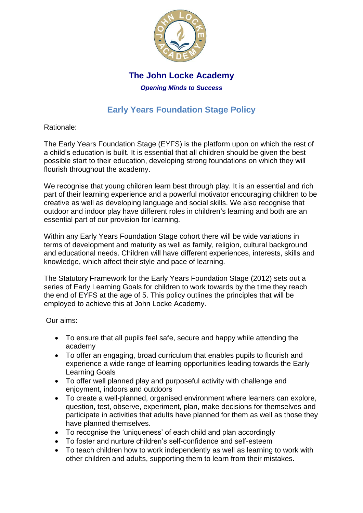

## **The John Locke Academy**

*Opening Minds to Success*

# **Early Years Foundation Stage Policy**

Rationale:

The Early Years Foundation Stage (EYFS) is the platform upon on which the rest of a child's education is built. It is essential that all children should be given the best possible start to their education, developing strong foundations on which they will flourish throughout the academy.

We recognise that young children learn best through play. It is an essential and rich part of their learning experience and a powerful motivator encouraging children to be creative as well as developing language and social skills. We also recognise that outdoor and indoor play have different roles in children's learning and both are an essential part of our provision for learning.

Within any Early Years Foundation Stage cohort there will be wide variations in terms of development and maturity as well as family, religion, cultural background and educational needs. Children will have different experiences, interests, skills and knowledge, which affect their style and pace of learning.

The Statutory Framework for the Early Years Foundation Stage (2012) sets out a series of Early Learning Goals for children to work towards by the time they reach the end of EYFS at the age of 5. This policy outlines the principles that will be employed to achieve this at John Locke Academy.

Our aims:

- To ensure that all pupils feel safe, secure and happy while attending the academy
- To offer an engaging, broad curriculum that enables pupils to flourish and experience a wide range of learning opportunities leading towards the Early Learning Goals
- To offer well planned play and purposeful activity with challenge and enjoyment, indoors and outdoors
- To create a well-planned, organised environment where learners can explore, question, test, observe, experiment, plan, make decisions for themselves and participate in activities that adults have planned for them as well as those they have planned themselves.
- To recognise the 'uniqueness' of each child and plan accordingly
- To foster and nurture children's self-confidence and self-esteem
- To teach children how to work independently as well as learning to work with other children and adults, supporting them to learn from their mistakes.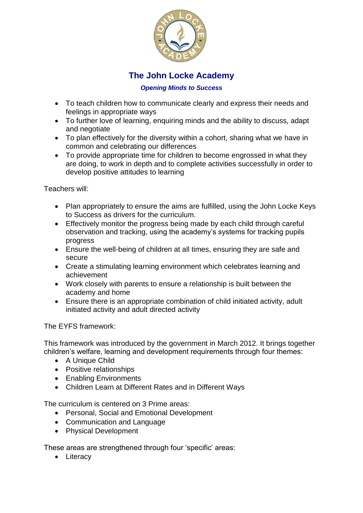

## **The John Locke Academy**

#### *Opening Minds to Success*

- To teach children how to communicate clearly and express their needs and feelings in appropriate ways
- To further love of learning, enquiring minds and the ability to discuss, adapt and negotiate
- To plan effectively for the diversity within a cohort, sharing what we have in common and celebrating our differences
- To provide appropriate time for children to become engrossed in what they are doing, to work in depth and to complete activities successfully in order to develop positive attitudes to learning

Teachers will:

- Plan appropriately to ensure the aims are fulfilled, using the John Locke Keys to Success as drivers for the curriculum.
- Effectively monitor the progress being made by each child through careful observation and tracking, using the academy's systems for tracking pupils progress
- Ensure the well-being of children at all times, ensuring they are safe and secure
- Create a stimulating learning environment which celebrates learning and achievement
- Work closely with parents to ensure a relationship is built between the academy and home
- Ensure there is an appropriate combination of child initiated activity, adult initiated activity and adult directed activity

The EYFS framework:

This framework was introduced by the government in March 2012. It brings together children's welfare, learning and development requirements through four themes:

- A Unique Child
- Positive relationships
- Enabling Environments
- Children Learn at Different Rates and in Different Ways

The curriculum is centered on 3 Prime areas:

- Personal, Social and Emotional Development
- Communication and Language
- Physical Development

These areas are strengthened through four 'specific' areas:

• Literacy